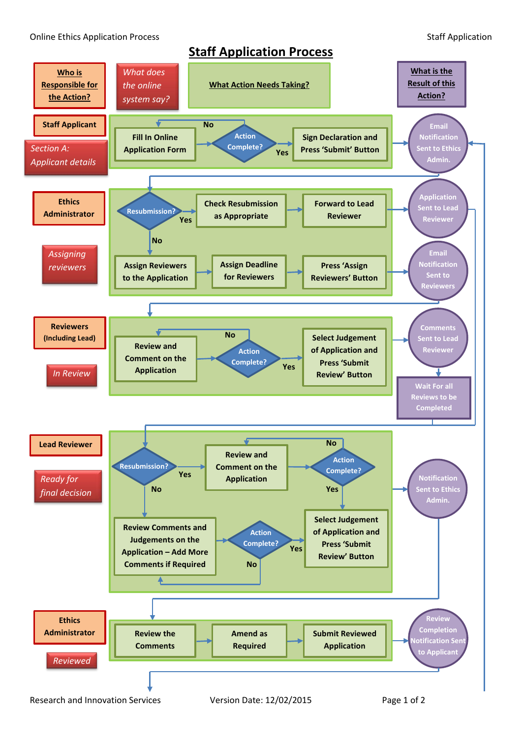Online Ethics Application Process **Staff Application** Staff Application

## **Staff Application Process**